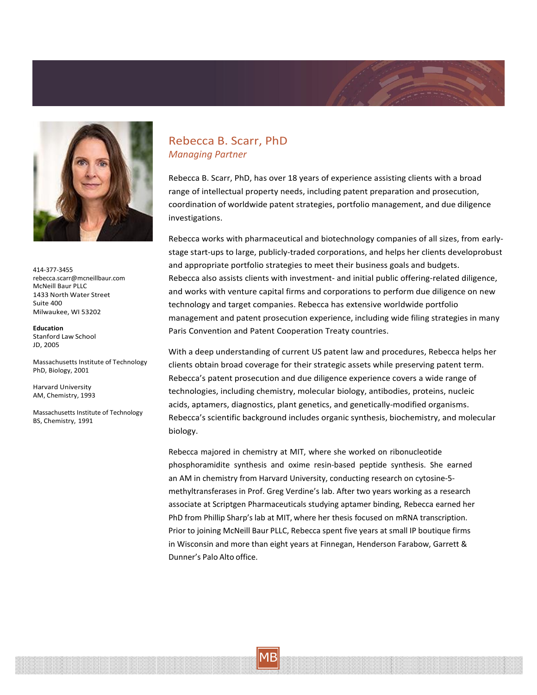



414‐377‐3455 [rebecca.scarr@mcneillbaur.com](mailto:rebecca.scarr@mcneillbaur.com) McNeill Baur PLLC 1433 North Water Street Suite 400 Milwaukee, WI 53202

**Education** Stanford Law School JD, 2005

Massachusetts Institute of Technology PhD, Biology, 2001

Harvard University AM, Chemistry, 1993

Massachusetts Institute of Technology BS, Chemistry, 1991

## Rebecca B. Scarr, PhD *Managing Partner*

Rebecca B. Scarr, PhD, has over 18 years of experience assisting clients with a broad range of intellectual property needs, including patent preparation and prosecution, coordination of worldwide patent strategies, portfolio management, and due diligence investigations.

Rebecca works with pharmaceutical and biotechnology companies of all sizes, from early‐ stage start‐ups to large, publicly‐traded corporations, and helps her clients developrobust and appropriate portfolio strategies to meet their business goals and budgets. Rebecca also assists clients with investment‐ and initial public offering‐related diligence, and works with venture capital firms and corporations to perform due diligence on new technology and target companies. Rebecca has extensive worldwide portfolio management and patent prosecution experience, including wide filing strategies in many Paris Convention and Patent Cooperation Treaty countries.

With a deep understanding of current US patent law and procedures, Rebecca helps her clients obtain broad coverage for their strategic assets while preserving patent term. Rebecca's patent prosecution and due diligence experience covers a wide range of technologies, including chemistry, molecular biology, antibodies, proteins, nucleic acids, aptamers, diagnostics, plant genetics, and genetically‐modified organisms. Rebecca's scientific background includes organic synthesis, biochemistry, and molecular biology.

Rebecca majored in chemistry at MIT, where she worked on ribonucleotide phosphoramidite synthesis and oxime resin‐based peptide synthesis. She earned an AM in chemistry from Harvard University, conducting research on cytosine‐5‐ methyltransferases in Prof. Greg Verdine's lab. After two years working as a research associate at Scriptgen Pharmaceuticals studying aptamer binding, Rebecca earned her PhD from Phillip Sharp's lab at MIT, where her thesis focused on mRNA transcription. Prior to joining McNeill Baur PLLC, Rebecca spent five years at small IP boutique firms in Wisconsin and more than eight years at Finnegan, Henderson Farabow, Garrett & Dunner's Palo Alto office.